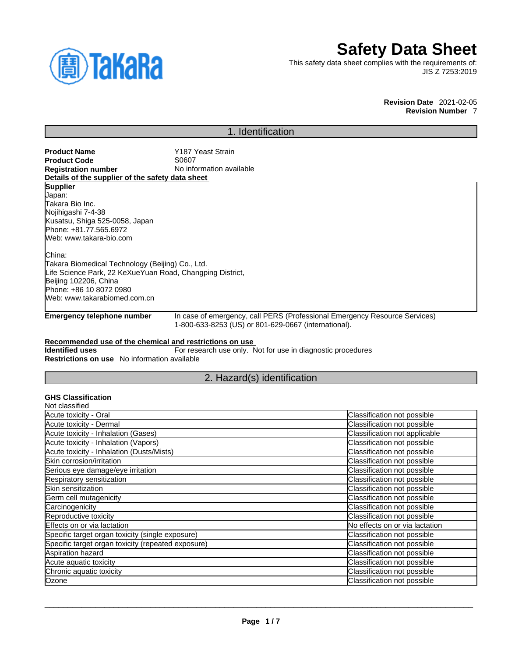

# **Safety Data Sheet**

This safety data sheet complies with the requirements of: JIS Z 7253:2019

### **Revision Date** 2021-02-05 **Revision Number** 7

# 1. Identification

| <b>Product Name</b>                                       | Y187 Yeast Strain                                                          |  |
|-----------------------------------------------------------|----------------------------------------------------------------------------|--|
| <b>Product Code</b>                                       | S0607                                                                      |  |
| <b>Registration number</b>                                | No information available                                                   |  |
| Details of the supplier of the safety data sheet          |                                                                            |  |
| <b>Supplier</b>                                           |                                                                            |  |
| Japan:                                                    |                                                                            |  |
| Takara Bio Inc.                                           |                                                                            |  |
| Nojihigashi 7-4-38                                        |                                                                            |  |
| Kusatsu, Shiga 525-0058, Japan                            |                                                                            |  |
| Phone: +81.77.565.6972                                    |                                                                            |  |
| Web: www.takara-bio.com                                   |                                                                            |  |
| China:                                                    |                                                                            |  |
| Takara Biomedical Technology (Beijing) Co., Ltd.          |                                                                            |  |
| Life Science Park, 22 KeXueYuan Road, Changping District, |                                                                            |  |
| Beijing 102206, China                                     |                                                                            |  |
| Phone: +86 10 8072 0980                                   |                                                                            |  |
| Web: www.takarabiomed.com.cn                              |                                                                            |  |
| Emergency telephone number                                | In case of emergency, call PERS (Professional Emergency Resource Services) |  |

1-800-633-8253 (US) or 801-629-0667 (international).

### **Recommended use of the chemical and restrictions on use**

**Identified uses** For research use only. Not for use in diagnostic procedures **Restrictions on use** No information available

## 2. Hazard(s) identification

### **GHS Classification**

| Not classified                                     |                                |
|----------------------------------------------------|--------------------------------|
| Acute toxicity - Oral                              | Classification not possible    |
| Acute toxicity - Dermal                            | Classification not possible    |
| Acute toxicity - Inhalation (Gases)                | Classification not applicable  |
| Acute toxicity - Inhalation (Vapors)               | Classification not possible    |
| Acute toxicity - Inhalation (Dusts/Mists)          | Classification not possible    |
| Skin corrosion/irritation                          | Classification not possible    |
| Serious eye damage/eye irritation                  | Classification not possible    |
| Respiratory sensitization                          | Classification not possible    |
| Skin sensitization                                 | Classification not possible    |
| Germ cell mutagenicity                             | Classification not possible    |
| Carcinogenicity                                    | Classification not possible    |
| Reproductive toxicity                              | Classification not possible    |
| Effects on or via lactation                        | No effects on or via lactation |
| Specific target organ toxicity (single exposure)   | Classification not possible    |
| Specific target organ toxicity (repeated exposure) | Classification not possible    |
| Aspiration hazard                                  | Classification not possible    |
| Acute aquatic toxicity                             | Classification not possible    |
| Chronic aquatic toxicity                           | Classification not possible    |
| Ozone                                              | Classification not possible    |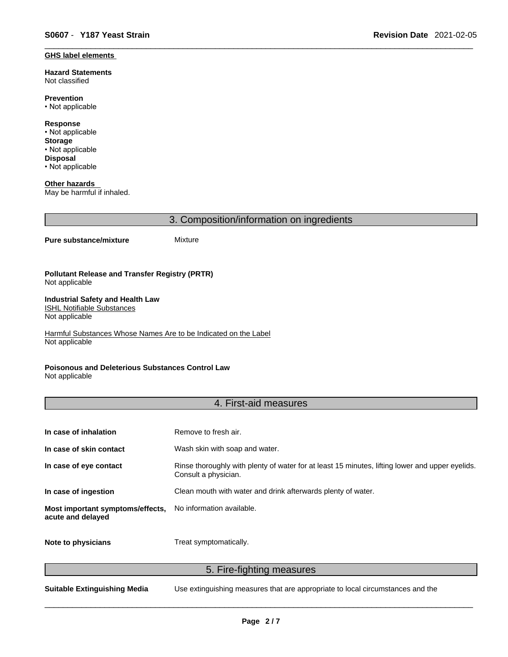### **GHS label elements**

**Hazard Statements**  Not classified

**Prevention** • Not applicable

**Response** • Not applicable **Storage** • Not applicable **Disposal** • Not applicable

**Other hazards**  May be harmful if inhaled.

3. Composition/information on ingredients

### **Pure substance/mixture** Mixture

**Pollutant Release and Transfer Registry (PRTR)** Not applicable

#### **Industrial Safety and Health Law**  ISHL Notifiable Substances

Not applicable

Harmful Substances Whose Names Are to be Indicated on the Label Not applicable

### **Poisonous and Deleterious Substances Control Law**

Not applicable

### 4. First-aid measures

| In case of inhalation                                 | Remove to fresh air.                                                                                                    |
|-------------------------------------------------------|-------------------------------------------------------------------------------------------------------------------------|
| In case of skin contact                               | Wash skin with soap and water.                                                                                          |
| In case of eye contact                                | Rinse thoroughly with plenty of water for at least 15 minutes, lifting lower and upper eyelids.<br>Consult a physician. |
| In case of ingestion                                  | Clean mouth with water and drink afterwards plenty of water.                                                            |
| Most important symptoms/effects,<br>acute and delayed | No information available.                                                                                               |
| Note to physicians                                    | Treat symptomatically.                                                                                                  |

5. Fire-fighting measures

**Suitable Extinguishing Media** Use extinguishing measures that are appropriate to local circumstances and the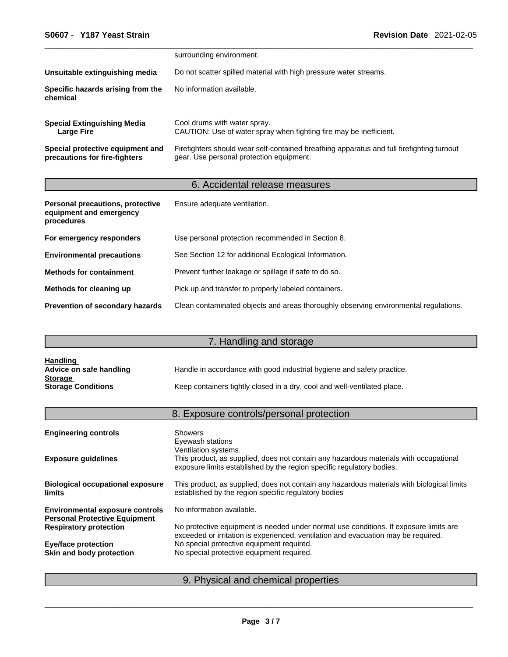|                                                                   | surrounding environment.                                                                                                              |
|-------------------------------------------------------------------|---------------------------------------------------------------------------------------------------------------------------------------|
| Unsuitable extinguishing media                                    | Do not scatter spilled material with high pressure water streams.                                                                     |
| Specific hazards arising from the<br>chemical                     | No information available.                                                                                                             |
| <b>Special Extinguishing Media</b><br>Large Fire                  | Cool drums with water spray.<br>CAUTION: Use of water spray when fighting fire may be inefficient.                                    |
| Special protective equipment and<br>precautions for fire-fighters | Firefighters should wear self-contained breathing apparatus and full firefighting turnout<br>gear. Use personal protection equipment. |

# 6. Accidental release measures

| Personal precautions, protective<br>equipment and emergency<br>procedures | Ensure adequate ventilation.                                                         |
|---------------------------------------------------------------------------|--------------------------------------------------------------------------------------|
| For emergency responders                                                  | Use personal protection recommended in Section 8.                                    |
| <b>Environmental precautions</b>                                          | See Section 12 for additional Ecological Information.                                |
| <b>Methods for containment</b>                                            | Prevent further leakage or spillage if safe to do so.                                |
| Methods for cleaning up                                                   | Pick up and transfer to properly labeled containers.                                 |
| <b>Prevention of secondary hazards</b>                                    | Clean contaminated objects and areas thoroughly observing environmental regulations. |

# 7. Handling and storage

| <b>Handling</b>           |                                                                          |
|---------------------------|--------------------------------------------------------------------------|
| Advice on safe handling   | Handle in accordance with good industrial hygiene and safety practice.   |
| <b>Storage</b>            |                                                                          |
| <b>Storage Conditions</b> | Keep containers tightly closed in a dry, cool and well-ventilated place. |

# 8. Exposure controls/personal protection

| <b>Engineering controls</b>                                                    | <b>Showers</b><br>Eyewash stations                                                                                                                                                     |
|--------------------------------------------------------------------------------|----------------------------------------------------------------------------------------------------------------------------------------------------------------------------------------|
| <b>Exposure guidelines</b>                                                     | Ventilation systems.<br>This product, as supplied, does not contain any hazardous materials with occupational<br>exposure limits established by the region specific regulatory bodies. |
| <b>Biological occupational exposure</b><br><b>limits</b>                       | This product, as supplied, does not contain any hazardous materials with biological limits<br>established by the region specific regulatory bodies                                     |
| <b>Environmental exposure controls</b><br><b>Personal Protective Equipment</b> | No information available.                                                                                                                                                              |
| <b>Respiratory protection</b>                                                  | No protective equipment is needed under normal use conditions. If exposure limits are<br>exceeded or irritation is experienced, ventilation and evacuation may be required.            |
| <b>Eye/face protection</b>                                                     | No special protective equipment required.                                                                                                                                              |
| Skin and body protection                                                       | No special protective equipment required.                                                                                                                                              |
|                                                                                |                                                                                                                                                                                        |

# 9. Physical and chemical properties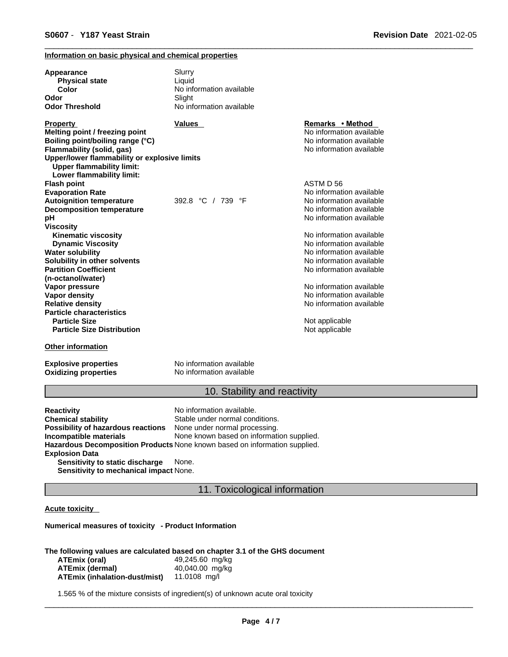### **Information on basic physical and chemical properties**

| Appearance<br><b>Physical state</b><br>Color                                                                  | Slurry<br>Liquid<br>No information available |                          |
|---------------------------------------------------------------------------------------------------------------|----------------------------------------------|--------------------------|
| Odor                                                                                                          | Slight                                       |                          |
| <b>Odor Threshold</b>                                                                                         | No information available                     |                          |
| <b>Property</b>                                                                                               | <b>Values</b>                                | Remarks • Method         |
| Melting point / freezing point                                                                                |                                              | No information available |
| Boiling point/boiling range (°C)                                                                              |                                              | No information available |
| Flammability (solid, gas)                                                                                     |                                              | No information available |
| Upper/lower flammability or explosive limits<br><b>Upper flammability limit:</b><br>Lower flammability limit: |                                              |                          |
| <b>Flash point</b>                                                                                            |                                              | ASTM D 56                |
| <b>Evaporation Rate</b>                                                                                       |                                              | No information available |
| <b>Autoignition temperature</b>                                                                               | 392.8 °C / 739 °F                            | No information available |
| <b>Decomposition temperature</b>                                                                              |                                              | No information available |
| pH                                                                                                            |                                              | No information available |
| <b>Viscosity</b>                                                                                              |                                              |                          |
| <b>Kinematic viscosity</b>                                                                                    |                                              | No information available |
| <b>Dynamic Viscosity</b>                                                                                      |                                              | No information available |
| <b>Water solubility</b>                                                                                       |                                              | No information available |
| Solubility in other solvents                                                                                  |                                              | No information available |
| <b>Partition Coefficient</b>                                                                                  |                                              | No information available |
| (n-octanol/water)                                                                                             |                                              |                          |
| Vapor pressure                                                                                                |                                              | No information available |
| <b>Vapor density</b>                                                                                          |                                              | No information available |
| <b>Relative density</b>                                                                                       |                                              | No information available |
| <b>Particle characteristics</b>                                                                               |                                              |                          |
| <b>Particle Size</b>                                                                                          |                                              | Not applicable           |
| <b>Particle Size Distribution</b>                                                                             |                                              | Not applicable           |
| <b>Other information</b>                                                                                      |                                              |                          |
| <b>Explosive properties</b>                                                                                   | No information available                     |                          |
| <b>Oxidizing properties</b>                                                                                   | No information available                     |                          |

# 10. Stability and reactivity

| <b>Reactivity</b>                  | No information available.                                                         |
|------------------------------------|-----------------------------------------------------------------------------------|
| <b>Chemical stability</b>          | Stable under normal conditions.                                                   |
| Possibility of hazardous reactions | None under normal processing.                                                     |
| Incompatible materials             | None known based on information supplied.                                         |
|                                    | <b>Hazardous Decomposition Products</b> None known based on information supplied. |
| <b>Explosion Data</b>              |                                                                                   |
| Sensitivity to static discharge    | None.                                                                             |
|                                    |                                                                                   |

**Sensitivity to mechanical impact** None.

### 11. Toxicological information

### **Acute toxicity**

**Numerical measures of toxicity - Product Information**

#### **The following values are calculated based on chapter 3.1 of the GHS document**

| ATEmix (oral)                        | 49,245.60 mg/kg |
|--------------------------------------|-----------------|
| ATEmix (dermal)                      | 40,040.00 mg/kg |
| <b>ATEmix (inhalation-dust/mist)</b> | 11.0108 ma/l    |

1.565 % of the mixture consists of ingredient(s) of unknown acute oral toxicity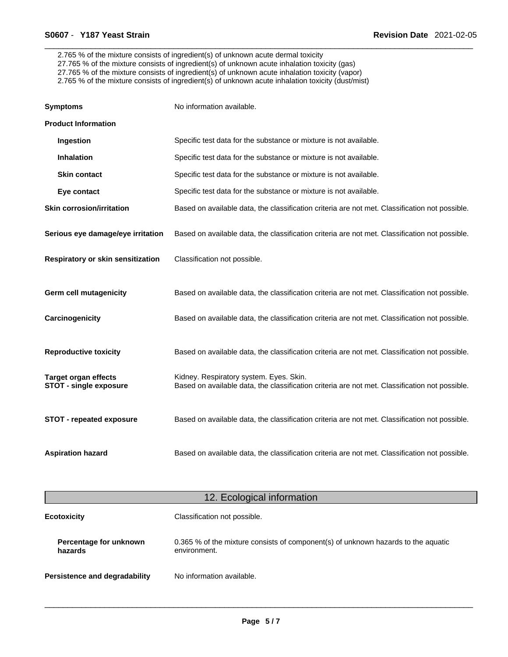2.765 % of the mixture consists of ingredient(s) of unknown acute dermal toxicity 27.765 % of the mixture consists of ingredient(s) of unknown acute inhalation toxicity (gas) 27.765 % of the mixture consists of ingredient(s) of unknown acute inhalation toxicity (vapor) 2.765 % of the mixture consists of ingredient(s) of unknown acute inhalation toxicity (dust/mist)

| <b>Symptoms</b>                                              | No information available.                                                                                                                 |
|--------------------------------------------------------------|-------------------------------------------------------------------------------------------------------------------------------------------|
| <b>Product Information</b>                                   |                                                                                                                                           |
| Ingestion                                                    | Specific test data for the substance or mixture is not available.                                                                         |
| <b>Inhalation</b>                                            | Specific test data for the substance or mixture is not available.                                                                         |
| <b>Skin contact</b>                                          | Specific test data for the substance or mixture is not available.                                                                         |
| Eye contact                                                  | Specific test data for the substance or mixture is not available.                                                                         |
| <b>Skin corrosion/irritation</b>                             | Based on available data, the classification criteria are not met. Classification not possible.                                            |
| Serious eye damage/eye irritation                            | Based on available data, the classification criteria are not met. Classification not possible.                                            |
| Respiratory or skin sensitization                            | Classification not possible.                                                                                                              |
| <b>Germ cell mutagenicity</b>                                | Based on available data, the classification criteria are not met. Classification not possible.                                            |
| Carcinogenicity                                              | Based on available data, the classification criteria are not met. Classification not possible.                                            |
| <b>Reproductive toxicity</b>                                 | Based on available data, the classification criteria are not met. Classification not possible.                                            |
| <b>Target organ effects</b><br><b>STOT - single exposure</b> | Kidney. Respiratory system. Eyes. Skin.<br>Based on available data, the classification criteria are not met. Classification not possible. |
| <b>STOT - repeated exposure</b>                              | Based on available data, the classification criteria are not met. Classification not possible.                                            |
| <b>Aspiration hazard</b>                                     | Based on available data, the classification criteria are not met. Classification not possible.                                            |

| 12. Ecological information        |                                                                                                   |
|-----------------------------------|---------------------------------------------------------------------------------------------------|
| <b>Ecotoxicity</b>                | Classification not possible.                                                                      |
| Percentage for unknown<br>hazards | 0.365 % of the mixture consists of component(s) of unknown hazards to the aquatic<br>environment. |
| Persistence and degradability     | No information available.                                                                         |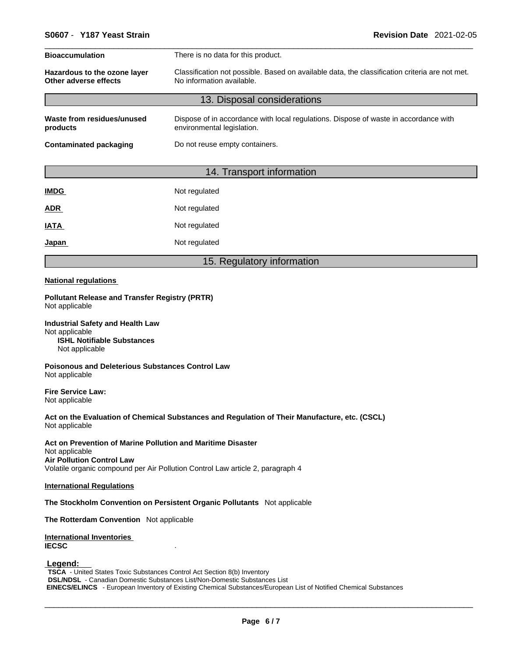| <b>Bioaccumulation</b>                                          | There is no data for this product.<br>Classification not possible. Based on available data, the classification criteria are not met.<br>No information available. |  |  |
|-----------------------------------------------------------------|-------------------------------------------------------------------------------------------------------------------------------------------------------------------|--|--|
| Hazardous to the ozone layer<br>Other adverse effects           |                                                                                                                                                                   |  |  |
|                                                                 | 13. Disposal considerations                                                                                                                                       |  |  |
| Waste from residues/unused<br>products                          | Dispose of in accordance with local regulations. Dispose of waste in accordance with<br>environmental legislation.                                                |  |  |
| <b>Contaminated packaging</b><br>Do not reuse empty containers. |                                                                                                                                                                   |  |  |
|                                                                 |                                                                                                                                                                   |  |  |

| 14. Transport information |  |
|---------------------------|--|
|                           |  |

| <b>IMDG</b> | Not regulated |
|-------------|---------------|
| <b>ADR</b>  | Not regulated |
| <b>IATA</b> | Not regulated |
| Japan       | Not regulated |

### 15. Regulatory information

#### **National regulations**

**Pollutant Release and Transfer Registry (PRTR)** Not applicable

**Industrial Safety and Health Law** Not applicable **ISHL Notifiable Substances** Not applicable

**Poisonous and Deleterious Substances Control Law** Not applicable

**Fire Service Law:** Not applicable

**Act on the Evaluation of Chemical Substances and Regulation of Their Manufacture, etc. (CSCL)** Not applicable

**Act on Prevention of Marine Pollution and Maritime Disaster** Not applicable **Air Pollution Control Law** Volatile organic compound per Air Pollution Control Law article 2, paragraph 4

#### **International Regulations**

**The Stockholm Convention on Persistent Organic Pollutants** Not applicable

**The Rotterdam Convention** Not applicable

**International Inventories IECSC** .

 **Legend:** 

**TSCA** - United States Toxic Substances Control Act Section 8(b) Inventory **DSL/NDSL** - Canadian Domestic Substances List/Non-Domestic Substances List  **EINECS/ELINCS** - European Inventory of Existing Chemical Substances/European List of Notified Chemical Substances